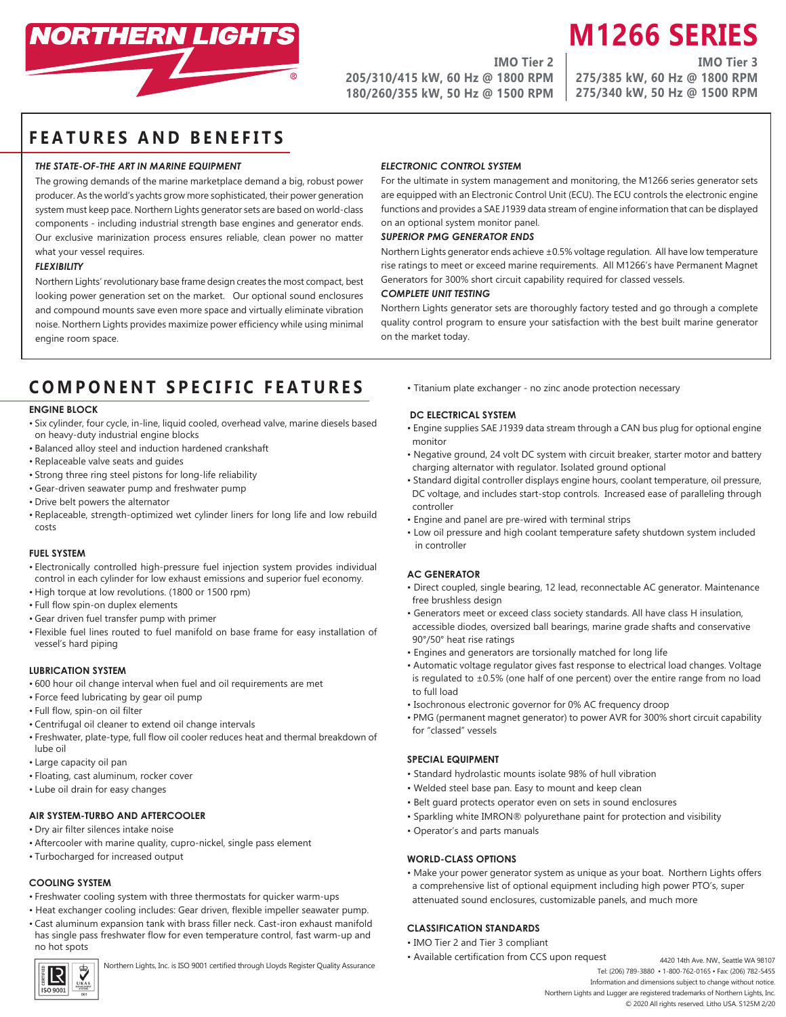

**IMO Tier 2 205/310/415 kW, 60 Hz @ 1800 RPM 180/260/355 kW, 50 Hz @ 1500 RPM** **M1266 SERIES IMO Tier 3**

**275/385 kW, 60 Hz @ 1800 RPM 275/340 kW, 50 Hz @ 1500 RPM**

## **FEATURES AND BENEFITS**

#### *THE STATE-OF-THE ART IN MARINE EQUIPMENT*

The growing demands of the marine marketplace demand a big, robust power producer. As the world's yachts grow more sophisticated, their power generation system must keep pace. Northern Lights generator sets are based on world-class components - including industrial strength base engines and generator ends. Our exclusive marinization process ensures reliable, clean power no matter what your vessel requires.

#### *FLEXIBILITY*

Northern Lights' revolutionary base frame design creates the most compact, best looking power generation set on the market. Our optional sound enclosures and compound mounts save even more space and virtually eliminate vibration noise. Northern Lights provides maximize power efficiency while using minimal engine room space.

## *ELECTRONIC CONTROL SYSTEM*

For the ultimate in system management and monitoring, the M1266 series generator sets are equipped with an Electronic Control Unit (ECU). The ECU controls the electronic engine functions and provides a SAE J1939 data stream of engine information that can be displayed on an optional system monitor panel.

## *SUPERIOR PMG GENERATOR ENDS*

Northern Lights generator ends achieve ±0.5% voltage regulation. All have low temperature rise ratings to meet or exceed marine requirements. All M1266's have Permanent Magnet Generators for 300% short circuit capability required for classed vessels.

#### *COMPLETE UNIT TESTING*

Northern Lights generator sets are thoroughly factory tested and go through a complete quality control program to ensure your satisfaction with the best built marine generator on the market today.

# **COMPONENT SPECIFIC FEATURES**

#### **ENGINE BLOCK**

- Six cylinder, four cycle, in-line, liquid cooled, overhead valve, marine diesels based on heavy-duty industrial engine blocks
- Balanced alloy steel and induction hardened crankshaft
- Replaceable valve seats and guides
- Strong three ring steel pistons for long-life reliability
- Gear-driven seawater pump and freshwater pump
- Drive belt powers the alternator
- Replaceable, strength-optimized wet cylinder liners for long life and low rebuild costs

#### **FUEL SYSTEM**

- Electronically controlled high-pressure fuel injection system provides individual control in each cylinder for low exhaust emissions and superior fuel economy.
- High torque at low revolutions. (1800 or 1500 rpm)
- Full flow spin-on duplex elements
- Gear driven fuel transfer pump with primer
- Flexible fuel lines routed to fuel manifold on base frame for easy installation of vessel's hard piping

#### **LUBRICATION SYSTEM**

- 600 hour oil change interval when fuel and oil requirements are met
- Force feed lubricating by gear oil pump
- Full flow, spin-on oil filter
- Centrifugal oil cleaner to extend oil change intervals
- Freshwater, plate-type, full flow oil cooler reduces heat and thermal breakdown of lube oil
- Large capacity oil pan
- Floating, cast aluminum, rocker cover
- Lube oil drain for easy changes

#### **AIR SYSTEM-TURBO AND AFTERCOOLER**

- Dry air filter silences intake noise
- Aftercooler with marine quality, cupro-nickel, single pass element
- Turbocharged for increased output

## **COOLING SYSTEM**

- Freshwater cooling system with three thermostats for quicker warm-ups
- Heat exchanger cooling includes: Gear driven, flexible impeller seawater pump.
- Cast aluminum expansion tank with brass filler neck. Cast-iron exhaust manifold has single pass freshwater flow for even temperature control, fast warm-up and no hot spots



• Titanium plate exchanger - no zinc anode protection necessary

#### **DC ELECTRICAL SYSTEM**

- Engine supplies SAE J1939 data stream through a CAN bus plug for optional engine monitor
- Negative ground, 24 volt DC system with circuit breaker, starter motor and battery charging alternator with regulator. Isolated ground optional
- Standard digital controller displays engine hours, coolant temperature, oil pressure, DC voltage, and includes start-stop controls. Increased ease of paralleling through controller
- Engine and panel are pre-wired with terminal strips
- Low oil pressure and high coolant temperature safety shutdown system included in controller

## **AC GENERATOR**

- Direct coupled, single bearing, 12 lead, reconnectable AC generator. Maintenance free brushless design
- Generators meet or exceed class society standards. All have class H insulation, accessible diodes, oversized ball bearings, marine grade shafts and conservative 90°/50° heat rise ratings
- Engines and generators are torsionally matched for long life
- Automatic voltage regulator gives fast response to electrical load changes. Voltage is regulated to  $\pm 0.5$ % (one half of one percent) over the entire range from no load to full load
- Isochronous electronic governor for 0% AC frequency droop
- PMG (permanent magnet generator) to power AVR for 300% short circuit capability for "classed" vessels

#### **SPECIAL EQUIPMENT**

- Standard hydrolastic mounts isolate 98% of hull vibration
- Welded steel base pan. Easy to mount and keep clean
- Belt guard protects operator even on sets in sound enclosures
- Sparkling white IMRON® polyurethane paint for protection and visibility
- Operator's and parts manuals

#### **WORLD-CLASS OPTIONS**

• Make your power generator system as unique as your boat. Northern Lights offers a comprehensive list of optional equipment including high power PTO's, super attenuated sound enclosures, customizable panels, and much more

## **CLASSIFICATION STANDARDS**

- IMO Tier 2 and Tier 3 compliant
- Available certification from CCS upon request
- Northern Lights, Inc. is ISO 9001 certified through Lloyds Register Quality Assurance 4420 14th Ave. NW, Seattle WA 98107<br>Northern Lights, Inc. is ISO 9001 certified through Lloyds Register Quality Assurance 4200 14th Ave. Tel: (206) 789-3880 • 1-800-762-0165 • Fax: (206) 782-5455 Information and dimensions subject to change without notice. Northern Lights and Lugger are registered trademarks of Northern Lights, Inc.